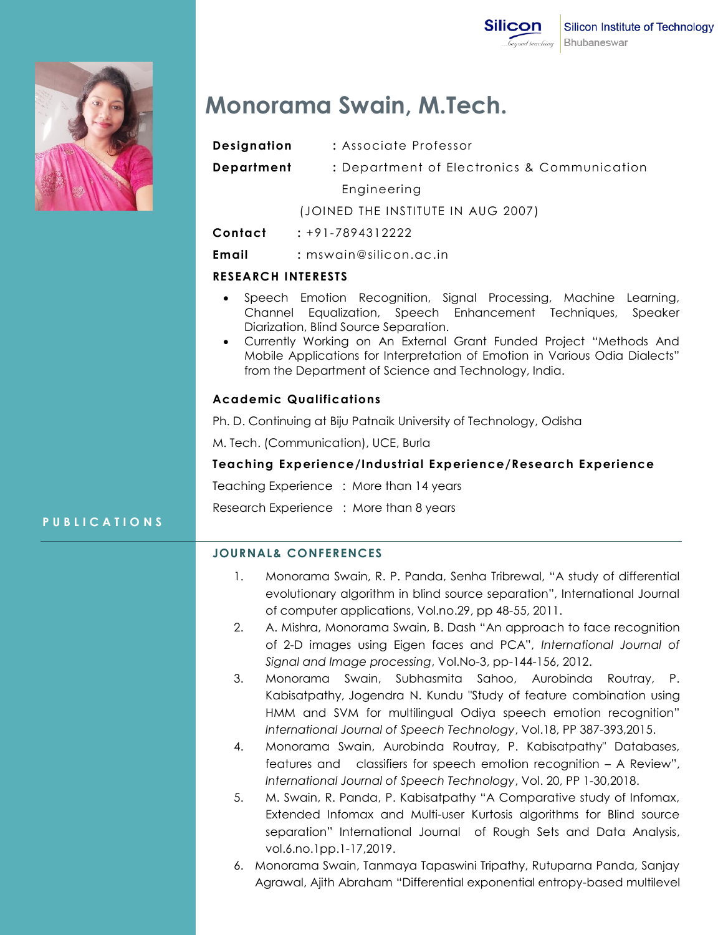

# **Monorama Swain, M.Tech.**

**Designation : Associate Professor** 

**Department :** Department of Electronics & Communication

Engineering

(JOINED THE INSTITUTE IN AUG 2007)

**Contact :** +91-7894312222

**Email :** mswain@silicon.ac.in

# **RESEARCH INTERESTS**

- Speech Emotion Recognition, Signal Processing, Machine Learning, Channel Equalization, Speech Enhancement Techniques, Speaker Diarization, Blind Source Separation.
- Currently Working on An External Grant Funded Project "Methods And Mobile Applications for Interpretation of Emotion in Various Odia Dialects" from the Department of Science and Technology, India.

# **Academic Qualifications**

Ph. D. Continuing at Biju Patnaik University of Technology, Odisha

M. Tech. (Communication), UCE, Burla

# **Teaching Experience/Industrial Experience/Research Experience**

Teaching Experience : More than 14 years

Research Experience : More than 8 years

# **P U B L I C A T I O N S**

# **JOURNAL& CONFERENCES**

- 1. Monorama Swain, R. P. Panda, Senha Tribrewal, "A study of differential evolutionary algorithm in blind source separation", International Journal of computer applications, Vol.no.29, pp 48-55, 2011.
- 2. A. Mishra, Monorama Swain, B. Dash "An approach to face recognition of 2-D images using Eigen faces and PCA", *International Journal of Signal and Image processing*, Vol.No-3, pp-144-156, 2012.
- 3. Monorama Swain, Subhasmita Sahoo, Aurobinda Routray, P. Kabisatpathy, Jogendra N. Kundu "Study of feature combination using HMM and SVM for multilingual Odiya speech emotion recognition" *International Journal of Speech Technology*, Vol.18, PP 387-393,2015.
- 4. Monorama Swain, Aurobinda Routray, P. Kabisatpathy" Databases, features and classifiers for speech emotion recognition – A Review", *International Journal of Speech Technology*, Vol. 20, PP 1-30,2018.
- 5. M. Swain, R. Panda, P. Kabisatpathy "A Comparative study of Infomax, Extended Infomax and Multi-user Kurtosis algorithms for Blind source separation" International Journal of Rough Sets and Data Analysis, vol.6.no.1pp.1-17,2019.
- 6. Monorama Swain, Tanmaya Tapaswini Tripathy, Rutuparna Panda, Sanjay Agrawal, Ajith Abraham "Differential exponential entropy-based multilevel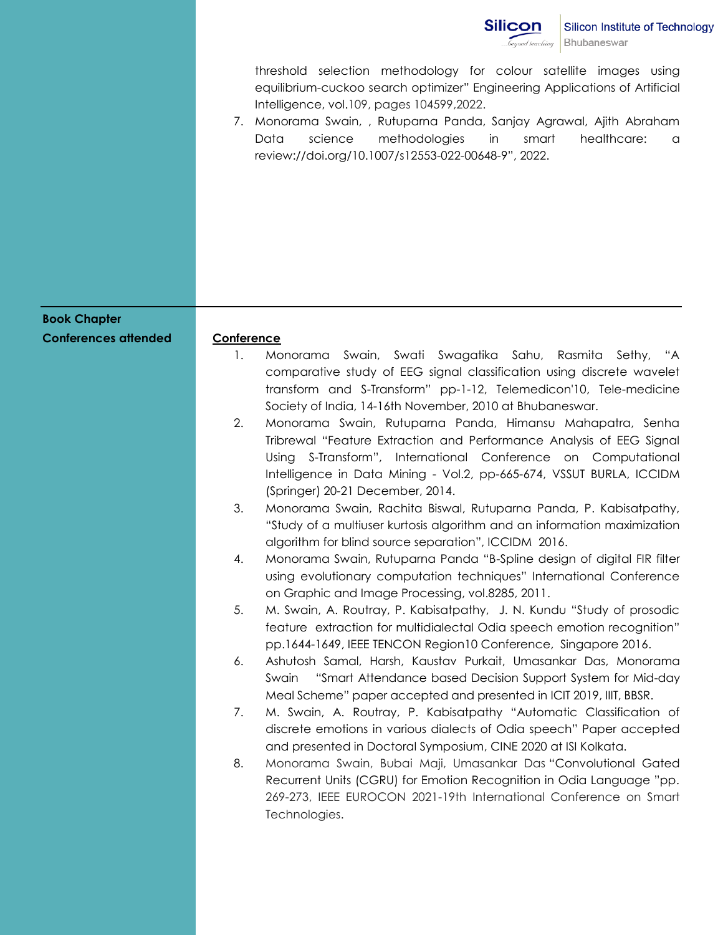

threshold selection methodology for colour satellite images using equilibrium-cuckoo search optimizer" Engineering Applications of Artificial Intelligence, vol.109, pages 104599,2022.

7. Monorama Swain, , Rutuparna Panda, Sanjay Agrawal, Ajith Abraham Data science methodologies in smart healthcare: a review://doi.org/10.1007/s12553-022-00648-9", 2022.

| <b>Book Chapter</b><br><b>Conferences attended</b> | Conference<br>Monorama Swain, Swati Swagatika Sahu, Rasmita Sethy, "A<br>1.<br>comparative study of EEG signal classification using discrete wavelet<br>transform and S-Transform" pp-1-12, Telemedicon'10, Tele-medicine<br>Society of India, 14-16th November, 2010 at Bhubaneswar.<br>Monorama Swain, Rutuparna Panda, Himansu Mahapatra, Senha<br>2.<br>Tribrewal "Feature Extraction and Performance Analysis of EEG Signal<br>Using S-Transform", International Conference on Computational<br>Intelligence in Data Mining - Vol.2, pp-665-674, VSSUT BURLA, ICCIDM<br>(Springer) 20-21 December, 2014.<br>3.<br>Monorama Swain, Rachita Biswal, Rutuparna Panda, P. Kabisatpathy,<br>"Study of a multiuser kurtosis algorithm and an information maximization |
|----------------------------------------------------|----------------------------------------------------------------------------------------------------------------------------------------------------------------------------------------------------------------------------------------------------------------------------------------------------------------------------------------------------------------------------------------------------------------------------------------------------------------------------------------------------------------------------------------------------------------------------------------------------------------------------------------------------------------------------------------------------------------------------------------------------------------------|
|                                                    | algorithm for blind source separation", ICCIDM 2016.<br>Monorama Swain, Rutuparna Panda "B-Spline design of digital FIR filter<br>4.<br>using evolutionary computation techniques" International Conference<br>on Graphic and Image Processing, vol.8285, 2011.<br>5.<br>M. Swain, A. Routray, P. Kabisatpathy, J. N. Kundu "Study of prosodic<br>feature extraction for multidialectal Odia speech emotion recognition"<br>pp.1644-1649, IEEE TENCON Region10 Conference, Singapore 2016.<br>Ashutosh Samal, Harsh, Kaustav Purkait, Umasankar Das, Monorama<br>6.<br>"Smart Attendance based Decision Support System for Mid-day<br>Swain                                                                                                                          |
|                                                    | Meal Scheme" paper accepted and presented in ICIT 2019, IIIT, BBSR.<br>M. Swain, A. Routray, P. Kabisatpathy "Automatic Classification of<br>7.<br>discrete emotions in various dialects of Odia speech" Paper accepted<br>and presented in Doctoral Symposium, CINE 2020 at ISI Kolkata.<br>Monorama Swain, Bubai Maji, Umasankar Das "Convolutional Gated<br>8.<br>Recurrent Units (CGRU) for Emotion Recognition in Odia Language "pp.<br>269-273, IEEE EUROCON 2021-19th International Conference on Smart<br>Technologies.                                                                                                                                                                                                                                      |